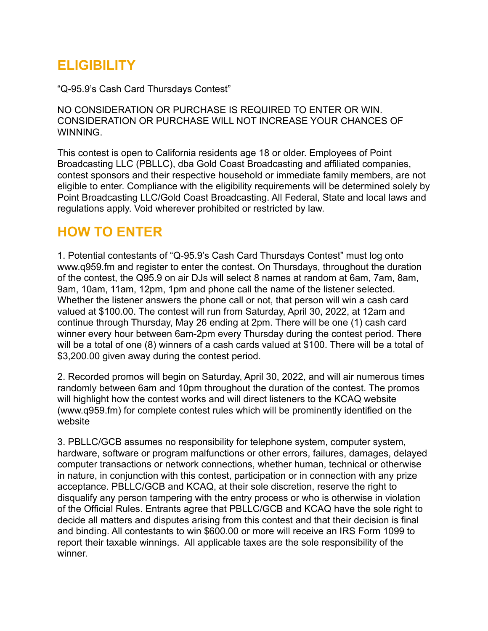# **ELIGIBILITY**

"Q-95.9's Cash Card Thursdays Contest"

NO CONSIDERATION OR PURCHASE IS REQUIRED TO ENTER OR WIN. CONSIDERATION OR PURCHASE WILL NOT INCREASE YOUR CHANCES OF WINNING.

This contest is open to California residents age 18 or older. Employees of Point Broadcasting LLC (PBLLC), dba Gold Coast Broadcasting and affiliated companies, contest sponsors and their respective household or immediate family members, are not eligible to enter. Compliance with the eligibility requirements will be determined solely by Point Broadcasting LLC/Gold Coast Broadcasting. All Federal, State and local laws and regulations apply. Void wherever prohibited or restricted by law.

## **HOW TO ENTER**

1. Potential contestants of "Q-95.9's Cash Card Thursdays Contest" must log onto www.q959.fm and register to enter the contest. On Thursdays, throughout the duration of the contest, the Q95.9 on air DJs will select 8 names at random at 6am, 7am, 8am, 9am, 10am, 11am, 12pm, 1pm and phone call the name of the listener selected. Whether the listener answers the phone call or not, that person will win a cash card valued at \$100.00. The contest will run from Saturday, April 30, 2022, at 12am and continue through Thursday, May 26 ending at 2pm. There will be one (1) cash card winner every hour between 6am-2pm every Thursday during the contest period. There will be a total of one (8) winners of a cash cards valued at \$100. There will be a total of \$3,200.00 given away during the contest period.

2. Recorded promos will begin on Saturday, April 30, 2022, and will air numerous times randomly between 6am and 10pm throughout the duration of the contest. The promos will highlight how the contest works and will direct listeners to the KCAQ website (www.q959.fm) for complete contest rules which will be prominently identified on the website

3. PBLLC/GCB assumes no responsibility for telephone system, computer system, hardware, software or program malfunctions or other errors, failures, damages, delayed computer transactions or network connections, whether human, technical or otherwise in nature, in conjunction with this contest, participation or in connection with any prize acceptance. PBLLC/GCB and KCAQ, at their sole discretion, reserve the right to disqualify any person tampering with the entry process or who is otherwise in violation of the Official Rules. Entrants agree that PBLLC/GCB and KCAQ have the sole right to decide all matters and disputes arising from this contest and that their decision is final and binding. All contestants to win \$600.00 or more will receive an IRS Form 1099 to report their taxable winnings. All applicable taxes are the sole responsibility of the winner.